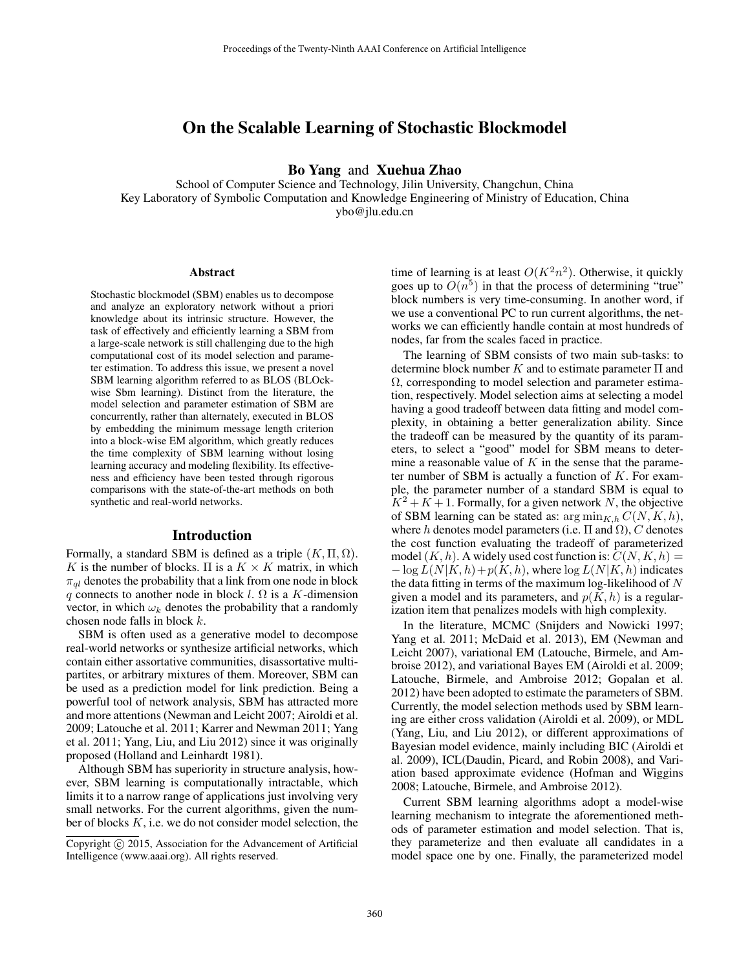# On the Scalable Learning of Stochastic Blockmodel

Bo Yang and Xuehua Zhao

School of Computer Science and Technology, Jilin University, Changchun, China Key Laboratory of Symbolic Computation and Knowledge Engineering of Ministry of Education, China ybo@jlu.edu.cn

#### Abstract

Stochastic blockmodel (SBM) enables us to decompose and analyze an exploratory network without a priori knowledge about its intrinsic structure. However, the task of effectively and efficiently learning a SBM from a large-scale network is still challenging due to the high computational cost of its model selection and parameter estimation. To address this issue, we present a novel SBM learning algorithm referred to as BLOS (BLOckwise Sbm learning). Distinct from the literature, the model selection and parameter estimation of SBM are concurrently, rather than alternately, executed in BLOS by embedding the minimum message length criterion into a block-wise EM algorithm, which greatly reduces the time complexity of SBM learning without losing learning accuracy and modeling flexibility. Its effectiveness and efficiency have been tested through rigorous comparisons with the state-of-the-art methods on both synthetic and real-world networks.

### Introduction

Formally, a standard SBM is defined as a triple  $(K, \Pi, \Omega)$ . K is the number of blocks.  $\Pi$  is a  $K \times K$  matrix, in which  $\pi_{al}$  denotes the probability that a link from one node in block q connects to another node in block l.  $\Omega$  is a K-dimension vector, in which  $\omega_k$  denotes the probability that a randomly chosen node falls in block k.

SBM is often used as a generative model to decompose real-world networks or synthesize artificial networks, which contain either assortative communities, disassortative multipartites, or arbitrary mixtures of them. Moreover, SBM can be used as a prediction model for link prediction. Being a powerful tool of network analysis, SBM has attracted more and more attentions (Newman and Leicht 2007; Airoldi et al. 2009; Latouche et al. 2011; Karrer and Newman 2011; Yang et al. 2011; Yang, Liu, and Liu 2012) since it was originally proposed (Holland and Leinhardt 1981).

Although SBM has superiority in structure analysis, however, SBM learning is computationally intractable, which limits it to a narrow range of applications just involving very small networks. For the current algorithms, given the number of blocks  $K$ , i.e. we do not consider model selection, the

time of learning is at least  $O(K^2n^2)$ . Otherwise, it quickly goes up to  $O(n^5)$  in that the process of determining "true" block numbers is very time-consuming. In another word, if we use a conventional PC to run current algorithms, the networks we can efficiently handle contain at most hundreds of nodes, far from the scales faced in practice.

The learning of SBM consists of two main sub-tasks: to determine block number K and to estimate parameter  $\Pi$  and Ω, corresponding to model selection and parameter estimation, respectively. Model selection aims at selecting a model having a good tradeoff between data fitting and model complexity, in obtaining a better generalization ability. Since the tradeoff can be measured by the quantity of its parameters, to select a "good" model for SBM means to determine a reasonable value of  $K$  in the sense that the parameter number of SBM is actually a function of  $K$ . For example, the parameter number of a standard SBM is equal to  $K^2 + K + 1$ . Formally, for a given network N, the objective of SBM learning can be stated as:  $\arg \min_{K,h} C(N, K, h)$ , where h denotes model parameters (i.e.  $\Pi$  and  $\Omega$ ), C denotes the cost function evaluating the tradeoff of parameterized model  $(K, h)$ . A widely used cost function is:  $C(N, K, h) =$  $-\log L(N|K, h) + p(K, h)$ , where  $\log L(N|K, h)$  indicates the data fitting in terms of the maximum log-likelihood of  $N$ given a model and its parameters, and  $p(K, h)$  is a regularization item that penalizes models with high complexity.

In the literature, MCMC (Snijders and Nowicki 1997; Yang et al. 2011; McDaid et al. 2013), EM (Newman and Leicht 2007), variational EM (Latouche, Birmele, and Ambroise 2012), and variational Bayes EM (Airoldi et al. 2009; Latouche, Birmele, and Ambroise 2012; Gopalan et al. 2012) have been adopted to estimate the parameters of SBM. Currently, the model selection methods used by SBM learning are either cross validation (Airoldi et al. 2009), or MDL (Yang, Liu, and Liu 2012), or different approximations of Bayesian model evidence, mainly including BIC (Airoldi et al. 2009), ICL(Daudin, Picard, and Robin 2008), and Variation based approximate evidence (Hofman and Wiggins 2008; Latouche, Birmele, and Ambroise 2012).

Current SBM learning algorithms adopt a model-wise learning mechanism to integrate the aforementioned methods of parameter estimation and model selection. That is, they parameterize and then evaluate all candidates in a model space one by one. Finally, the parameterized model

Copyright (c) 2015, Association for the Advancement of Artificial Intelligence (www.aaai.org). All rights reserved.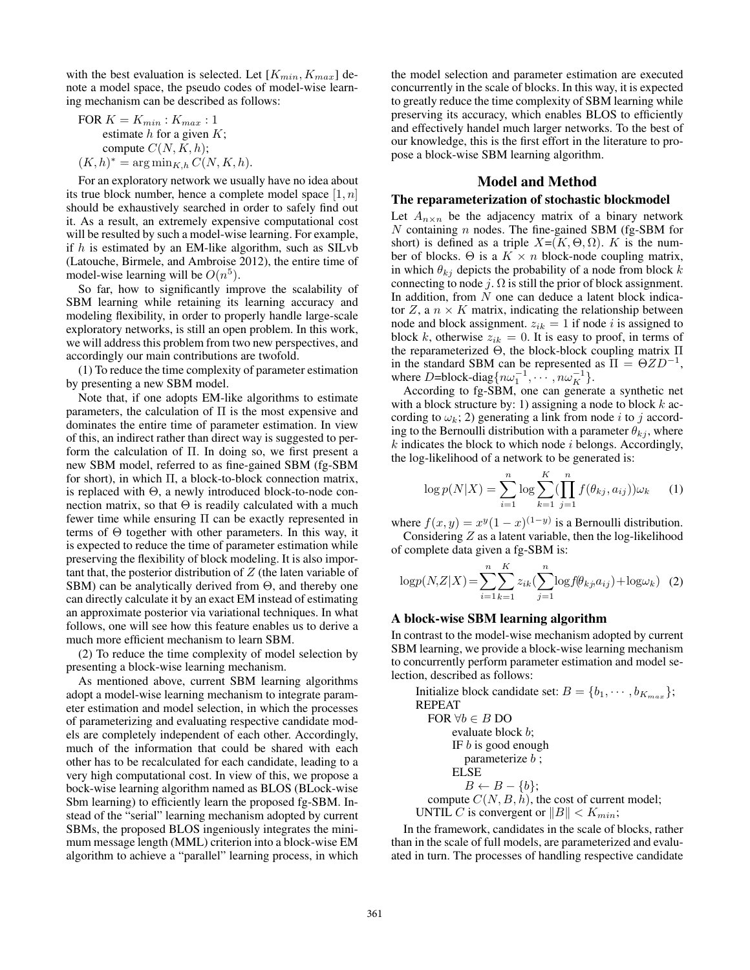with the best evaluation is selected. Let  $[K_{min}, K_{max}]$  denote a model space, the pseudo codes of model-wise learning mechanism can be described as follows:

FOR 
$$
K = K_{min}
$$
:  $K_{max}$ : 1  
estimate *h* for a given *K*;  
compute  $C(N, K, h)$ ;  
 $(K, h)^* = \arg \min_{K, h} C(N, K, h)$ .

For an exploratory network we usually have no idea about its true block number, hence a complete model space  $[1, n]$ should be exhaustively searched in order to safely find out it. As a result, an extremely expensive computational cost will be resulted by such a model-wise learning. For example, if  $h$  is estimated by an EM-like algorithm, such as SILvb (Latouche, Birmele, and Ambroise 2012), the entire time of model-wise learning will be  $O(n^5)$ .

So far, how to significantly improve the scalability of SBM learning while retaining its learning accuracy and modeling flexibility, in order to properly handle large-scale exploratory networks, is still an open problem. In this work, we will address this problem from two new perspectives, and accordingly our main contributions are twofold.

(1) To reduce the time complexity of parameter estimation by presenting a new SBM model.

Note that, if one adopts EM-like algorithms to estimate parameters, the calculation of Π is the most expensive and dominates the entire time of parameter estimation. In view of this, an indirect rather than direct way is suggested to perform the calculation of Π. In doing so, we first present a new SBM model, referred to as fine-gained SBM (fg-SBM for short), in which Π, a block-to-block connection matrix, is replaced with Θ, a newly introduced block-to-node connection matrix, so that  $\Theta$  is readily calculated with a much fewer time while ensuring Π can be exactly represented in terms of Θ together with other parameters. In this way, it is expected to reduce the time of parameter estimation while preserving the flexibility of block modeling. It is also important that, the posterior distribution of  $Z$  (the laten variable of SBM) can be analytically derived from Θ, and thereby one can directly calculate it by an exact EM instead of estimating an approximate posterior via variational techniques. In what follows, one will see how this feature enables us to derive a much more efficient mechanism to learn SBM.

(2) To reduce the time complexity of model selection by presenting a block-wise learning mechanism.

As mentioned above, current SBM learning algorithms adopt a model-wise learning mechanism to integrate parameter estimation and model selection, in which the processes of parameterizing and evaluating respective candidate models are completely independent of each other. Accordingly, much of the information that could be shared with each other has to be recalculated for each candidate, leading to a very high computational cost. In view of this, we propose a bock-wise learning algorithm named as BLOS (BLock-wise Sbm learning) to efficiently learn the proposed fg-SBM. Instead of the "serial" learning mechanism adopted by current SBMs, the proposed BLOS ingeniously integrates the minimum message length (MML) criterion into a block-wise EM algorithm to achieve a "parallel" learning process, in which

the model selection and parameter estimation are executed concurrently in the scale of blocks. In this way, it is expected to greatly reduce the time complexity of SBM learning while preserving its accuracy, which enables BLOS to efficiently and effectively handel much larger networks. To the best of our knowledge, this is the first effort in the literature to propose a block-wise SBM learning algorithm.

# Model and Method

### The reparameterization of stochastic blockmodel

Let  $A_{n \times n}$  be the adjacency matrix of a binary network  $N$  containing  $n$  nodes. The fine-gained SBM (fg-SBM for short) is defined as a triple  $X=(K, \Theta, \Omega)$ . K is the number of blocks. Θ is a  $K \times n$  block-node coupling matrix, in which  $\theta_{ki}$  depicts the probability of a node from block k connecting to node j.  $\Omega$  is still the prior of block assignment. In addition, from  $N$  one can deduce a latent block indicator Z, a  $n \times K$  matrix, indicating the relationship between node and block assignment.  $z_{ik} = 1$  if node i is assigned to block k, otherwise  $z_{ik} = 0$ . It is easy to proof, in terms of the reparameterized Θ, the block-block coupling matrix Π in the standard SBM can be represented as  $\Pi = \Theta Z D^{-1}$ , where D=block-diag $\{n\omega_1^{-1}, \cdots, n\omega_K^{-1}\}.$ 

According to fg-SBM, one can generate a synthetic net with a block structure by: 1) assigning a node to block  $k$  according to  $\omega_k$ ; 2) generating a link from node i to j according to the Bernoulli distribution with a parameter  $\theta_{ki}$ , where  $k$  indicates the block to which node  $i$  belongs. Accordingly, the log-likelihood of a network to be generated is:

$$
\log p(N|X) = \sum_{i=1}^{n} \log \sum_{k=1}^{K} (\prod_{j=1}^{n} f(\theta_{kj}, a_{ij})) \omega_k \qquad (1)
$$

where  $f(x, y) = x^y (1 - x)^{(1 - y)}$  is a Bernoulli distribution. Considering  $Z$  as a latent variable, then the log-likelihood of complete data given a fg-SBM is:

$$
\log p(N, Z|X) = \sum_{i=1}^{n} \sum_{k=1}^{K} z_{ik} (\sum_{j=1}^{n} \log f(\theta_{kj}, a_{ij}) + \log \omega_k) \quad (2)
$$

### A block-wise SBM learning algorithm

In contrast to the model-wise mechanism adopted by current SBM learning, we provide a block-wise learning mechanism to concurrently perform parameter estimation and model selection, described as follows:

Initialize block candidate set:  $B = \{b_1, \dots, b_{K_{max}}\};$ REPEAT FOR  $\forall b \in B$  DO evaluate block b; IF  $b$  is good enough parameterize  $b$ ; ELSE  $B \leftarrow B - \{b\};$ compute  $C(N, B, \tilde{h})$ , the cost of current model; UNTIL C is convergent or  $||B|| < K_{min}$ ;

In the framework, candidates in the scale of blocks, rather than in the scale of full models, are parameterized and evaluated in turn. The processes of handling respective candidate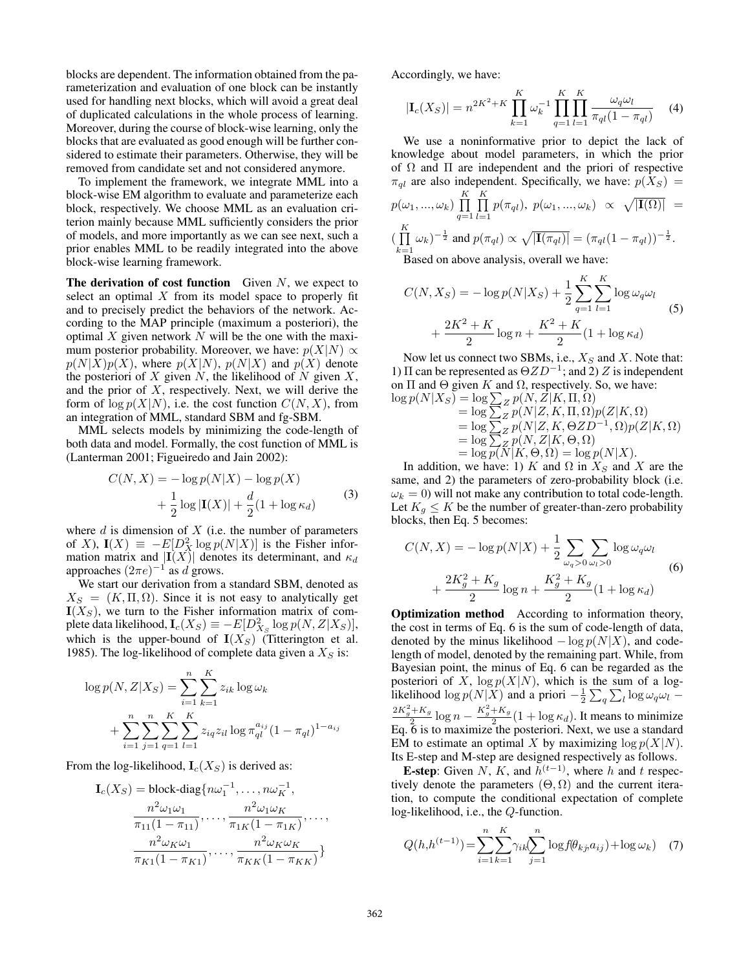blocks are dependent. The information obtained from the parameterization and evaluation of one block can be instantly used for handling next blocks, which will avoid a great deal of duplicated calculations in the whole process of learning. Moreover, during the course of block-wise learning, only the blocks that are evaluated as good enough will be further considered to estimate their parameters. Otherwise, they will be removed from candidate set and not considered anymore.

To implement the framework, we integrate MML into a block-wise EM algorithm to evaluate and parameterize each block, respectively. We choose MML as an evaluation criterion mainly because MML sufficiently considers the prior of models, and more importantly as we can see next, such a prior enables MML to be readily integrated into the above block-wise learning framework.

The derivation of cost function Given  $N$ , we expect to select an optimal  $X$  from its model space to properly fit and to precisely predict the behaviors of the network. According to the MAP principle (maximum a posteriori), the optimal  $X$  given network  $N$  will be the one with the maximum posterior probability. Moreover, we have:  $p(X|N) \propto$  $p(N|X)p(X)$ , where  $p(X|N)$ ,  $p(N|X)$  and  $p(X)$  denote the posteriori of  $X$  given  $N$ , the likelihood of  $N$  given  $X$ , and the prior of  $X$ , respectively. Next, we will derive the form of  $\log p(X|N)$ , i.e. the cost function  $C(N, X)$ , from an integration of MML, standard SBM and fg-SBM.

MML selects models by minimizing the code-length of both data and model. Formally, the cost function of MML is (Lanterman 2001; Figueiredo and Jain 2002):

$$
C(N, X) = -\log p(N|X) - \log p(X)
$$
  
+ 
$$
\frac{1}{2} \log |\mathbf{I}(X)| + \frac{d}{2} (1 + \log \kappa_d)
$$
 (3)

where  $d$  is dimension of  $X$  (i.e. the number of parameters of X),  $I(X) \equiv -E[D_X^2 \log p(N|X)]$  is the Fisher information matrix and  $|I(X)|$  denotes its determinant, and  $\kappa_d$ approaches  $(2\pi e)^{-1}$  as d grows.

We start our derivation from a standard SBM, denoted as  $X_S = (K, \Pi, \Omega)$ . Since it is not easy to analytically get  $I(X_S)$ , we turn to the Fisher information matrix of complete data likelihood,  $\mathbf{I}_c(X_S) \equiv -E[D^2_{X_S} \log p(N, Z|X_S)],$ which is the upper-bound of  $I(X_S)$  (Titterington et al. 1985). The log-likelihood of complete data given a  $X<sub>S</sub>$  is:

$$
\log p(N, Z|X_S) = \sum_{i=1}^{n} \sum_{k=1}^{K} z_{ik} \log \omega_k
$$
  
+ 
$$
\sum_{i=1}^{n} \sum_{j=1}^{n} \sum_{q=1}^{K} \sum_{l=1}^{K} z_{iq} z_{il} \log \pi_{ql}^{a_{ij}} (1 - \pi_{ql})^{1 - a_{ij}}
$$

From the log-likelihood,  $I_c(X_S)$  is derived as:

$$
\mathbf{I}_c(X_S) = \text{block-diag}\{n\omega_1^{-1}, \dots, n\omega_K^{-1},
$$

$$
\frac{n^2\omega_1\omega_1}{\pi_{11}(1-\pi_{11})}, \dots, \frac{n^2\omega_1\omega_K}{\pi_{1K}(1-\pi_{1K})}, \dots,
$$

$$
\frac{n^2\omega_K\omega_1}{\pi_{K1}(1-\pi_{K1})}, \dots, \frac{n^2\omega_K\omega_K}{\pi_{KK}(1-\pi_{KK})}\}
$$

Accordingly, we have:

$$
|\mathbf{I}_c(X_S)| = n^{2K^2 + K} \prod_{k=1}^K \omega_k^{-1} \prod_{q=1}^K \prod_{l=1}^K \frac{\omega_q \omega_l}{\pi_{ql}(1 - \pi_{ql})} \tag{4}
$$

We use a noninformative prior to depict the lack of knowledge about model parameters, in which the prior of  $\Omega$  and  $\Pi$  are independent and the priori of respective  $\pi_{ql}$  are also independent. Specifically, we have:  $p(X_S)$  =  $p(\omega_1, ..., \omega_k) \prod^{K}$  $q=1$  $\prod^K$  $\prod_{l=1} p(\pi_{ql}), p(\omega_1, ..., \omega_k) \propto \sqrt{|\mathbf{I}(\Omega)|}$  =  $(\prod^K$  $\prod_{k=1}^{n} \omega_k$ )  $^{-\frac{1}{2}}$  and  $p(\pi_{ql}) \propto \sqrt{|\mathbf{I}(\pi_{ql})|} = (\pi_{ql}(1 - \pi_{ql}))^{-\frac{1}{2}}$ .

Based on above analysis, overall we have:

$$
C(N, X_S) = -\log p(N|X_S) + \frac{1}{2} \sum_{q=1}^{K} \sum_{l=1}^{K} \log \omega_q \omega_l
$$
  
+ 
$$
\frac{2K^2 + K}{2} \log n + \frac{K^2 + K}{2} (1 + \log \kappa_d)
$$
 (5)

Now let us connect two SBMs, i.e.,  $X_S$  and X. Note that: 1) Π can be represented as  $\Theta ZD^{-1}$ ; and 2) Z is independent on  $\Pi$  and  $\Theta$  given K and  $\Omega$ , respectively. So, we have:  $\log p(N|X_S) = \log \sum_{Z} p(N, Z|K, \Pi, \Omega)$ 

$$
Q(N|AS) = \log \sum_{Z} p(N, Z|K, H, \Omega)
$$
  
=  $\log \sum_{Z} p(N|Z, K, \Pi, \Omega)p(Z|K, \Omega)$   
=  $\log \sum_{Z} p(N|Z, K, \Theta Z D^{-1}, \Omega)p(Z|K, \Omega)$   
=  $\log \sum_{Z} p(N, Z|K, \Theta, \Omega)$   
=  $\log p(N|K, \Theta, \Omega) = \log p(N|X).$ 

In addition, we have: 1) K and  $\Omega$  in  $X_S$  and X are the same, and 2) the parameters of zero-probability block (i.e.  $\omega_k = 0$ ) will not make any contribution to total code-length. Let  $K_g \leq K$  be the number of greater-than-zero probability blocks, then Eq. 5 becomes:

$$
C(N, X) = -\log p(N|X) + \frac{1}{2} \sum_{\omega_q > 0} \sum_{\omega_l > 0} \log \omega_q \omega_l
$$
  
+ 
$$
\frac{2K_g^2 + K_g}{2} \log n + \frac{K_g^2 + K_g}{2} (1 + \log \kappa_d)
$$
 (6)

Optimization method According to information theory, the cost in terms of Eq. 6 is the sum of code-length of data, denoted by the minus likelihood  $-\log p(N|X)$ , and codelength of model, denoted by the remaining part. While, from Bayesian point, the minus of Eq. 6 can be regarded as the posteriori of X,  $\log p(X|N)$ , which is the sum of a loglikelihood  $\log p(N|\tilde{X})$  and a priori  $-\frac{1}{2}\sum_{q}\sum_{l}\log \omega_q \omega_l$  –  $\frac{2K_g^2 + K_g}{2} \log n - \frac{K_g^2 + K_g}{2} (1 + \log \kappa_d)$ . It means to minimize Eq. 6 is to maximize the posteriori. Next, we use a standard EM to estimate an optimal X by maximizing  $\log p(X|N)$ . Its E-step and M-step are designed respectively as follows.

**E-step**: Given N, K, and  $h^{(t-1)}$ , where h and t respectively denote the parameters  $(\Theta, \Omega)$  and the current iteration, to compute the conditional expectation of complete log-likelihood, i.e., the Q-function.

$$
Q(h, h^{(t-1)}) = \sum_{i=1}^{n} \sum_{k=1}^{K} \gamma_{ik} \sum_{j=1}^{n} \log f(\theta_{kj}, a_{ij}) + \log \omega_k
$$
 (7)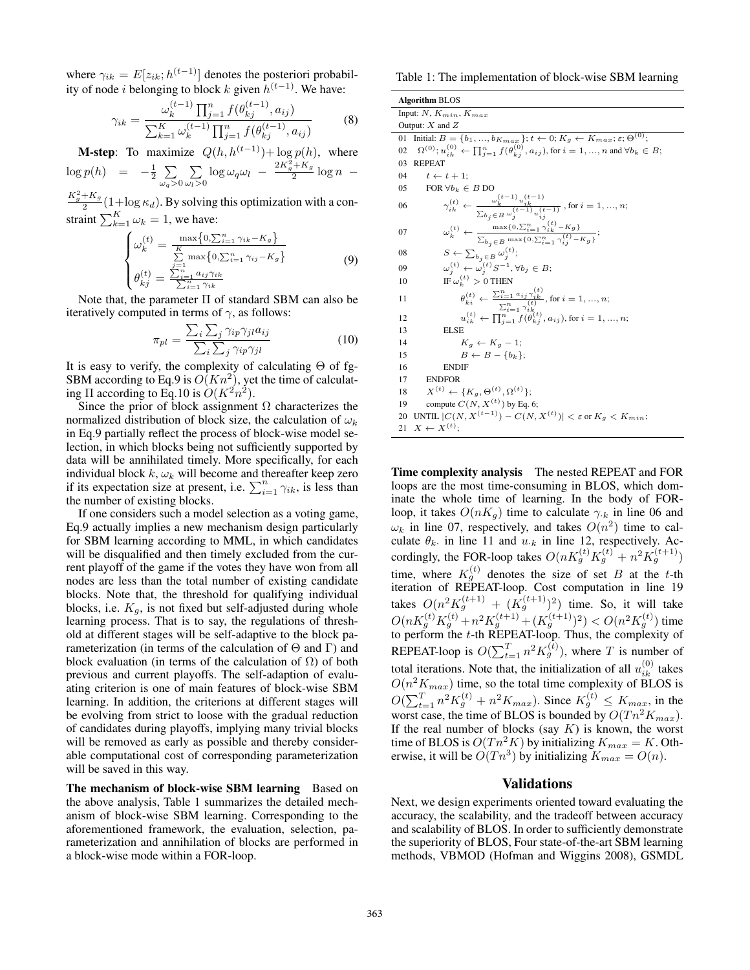where  $\gamma_{ik} = E[z_{ik}; h^{(t-1)}]$  denotes the posteriori probability of node *i* belonging to block k given  $h^{(t-1)}$ . We have:

$$
\gamma_{ik} = \frac{\omega_k^{(t-1)} \prod_{j=1}^n f(\theta_{kj}^{(t-1)}, a_{ij})}{\sum_{k=1}^K \omega_k^{(t-1)} \prod_{j=1}^n f(\theta_{kj}^{(t-1)}, a_{ij})}
$$
(8)

**M-step:** To maximize  $Q(h, h^{(t-1)}) + \log p(h)$ , where  $\log p(h) = -\frac{1}{2} \sum_{i=1}^{n}$ P  $\sum_{\omega_l>0} \log \omega_q \omega_l - \frac{2K_g^2 + K_g}{2} \log n -$ 

 $\frac{K_g^2 + K_g}{2}$  (1+log  $\kappa_d$ ). By solving this optimization with a constraint  $\sum_{k=1}^{K} \omega_k = 1$ , we have:

 $\omega_q$ >0

$$
\begin{cases}\n\omega_k^{(t)} = \frac{\max\{0, \sum_{i=1}^n \gamma_{ik} - K_g\}}{\sum_{j=1}^K \max\{0, \sum_{i=1}^n \gamma_{ij} - K_g\}} \\
\theta_{kj}^{(t)} = \frac{\sum_{i=1}^N a_{ij} \gamma_{ik}}{\sum_{i=1}^N \gamma_{ik}}\n\end{cases} \tag{9}
$$

Note that, the parameter  $\Pi$  of standard SBM can also be iteratively computed in terms of  $\gamma$ , as follows:

$$
\pi_{pl} = \frac{\sum_{i} \sum_{j} \gamma_{ip} \gamma_{jl} a_{ij}}{\sum_{i} \sum_{j} \gamma_{ip} \gamma_{jl}}
$$
(10)

It is easy to verify, the complexity of calculating Θ of fg-SBM according to Eq.9 is  $O(Kn^2)$ , yet the time of calculating  $\Pi$  according to Eq.10 is  $O(K^2n^2)$ .

Since the prior of block assignment  $\Omega$  characterizes the normalized distribution of block size, the calculation of  $\omega_k$ in Eq.9 partially reflect the process of block-wise model selection, in which blocks being not sufficiently supported by data will be annihilated timely. More specifically, for each individual block  $k$ ,  $\omega_k$  will become and thereafter keep zero if its expectation size at present, i.e.  $\sum_{i=1}^{n} \gamma_{ik}$ , is less than the number of existing blocks.

If one considers such a model selection as a voting game, Eq.9 actually implies a new mechanism design particularly for SBM learning according to MML, in which candidates will be disqualified and then timely excluded from the current playoff of the game if the votes they have won from all nodes are less than the total number of existing candidate blocks. Note that, the threshold for qualifying individual blocks, i.e.  $K_g$ , is not fixed but self-adjusted during whole learning process. That is to say, the regulations of threshold at different stages will be self-adaptive to the block parameterization (in terms of the calculation of  $\Theta$  and  $\Gamma$ ) and block evaluation (in terms of the calculation of  $\Omega$ ) of both previous and current playoffs. The self-adaption of evaluating criterion is one of main features of block-wise SBM learning. In addition, the criterions at different stages will be evolving from strict to loose with the gradual reduction of candidates during playoffs, implying many trivial blocks will be removed as early as possible and thereby considerable computational cost of corresponding parameterization will be saved in this way.

The mechanism of block-wise SBM learning Based on the above analysis, Table 1 summarizes the detailed mechanism of block-wise SBM learning. Corresponding to the aforementioned framework, the evaluation, selection, parameterization and annihilation of blocks are performed in a block-wise mode within a FOR-loop.

Table 1: The implementation of block-wise SBM learning

| <b>Algorithm BLOS</b>                                                                                                                                                                                                                                                |
|----------------------------------------------------------------------------------------------------------------------------------------------------------------------------------------------------------------------------------------------------------------------|
| Input: $N, K_{min}, K_{max}$                                                                                                                                                                                                                                         |
| Output: $X$ and $Z$                                                                                                                                                                                                                                                  |
| Initial: $B = \{b_1, , b_{Kmax}\}; t \leftarrow 0; K_g \leftarrow K_{max}; \varepsilon; \Theta^{(0)};$<br>01                                                                                                                                                         |
| $\Omega^{(0)};u_{ik}^{(0)} \leftarrow \textstyle \prod_{j=1}^n f(\theta_{kj}^{(0)}, a_{ij}), \text{for } i=1,,n \text{ and } \forall b_k \in B;$<br>02                                                                                                               |
| <b>REPEAT</b><br>03                                                                                                                                                                                                                                                  |
| $t \leftarrow t + 1$ :<br>04                                                                                                                                                                                                                                         |
| FOR $\forall b_k \in B$ DO<br>05                                                                                                                                                                                                                                     |
| $\gamma_{ik}^{(t)} \leftarrow \frac{\omega_k^{(t-1)} u_{ik}^{(t-1)}}{\sum_{b_i \in B} \omega_j^{(t-1)} u_{ij}^{(t-1)}}$ , for $i = 1, , n$ ;<br>06                                                                                                                   |
| $\omega_k^{(t)} \leftarrow \frac{\max\{0, \sum_{i=1}^n \gamma_{ik}^{(t)} - K_g\}}{\sum_{b_i \in B} \max\{0, \sum_{i=1}^n \gamma_{ij}^{(t)} - K_g\}};$<br>07                                                                                                          |
| $S \leftarrow \sum_{b_j \in B} \omega_j^{(t)};$<br>08                                                                                                                                                                                                                |
| $\omega_i^{(t)} \leftarrow \omega_i^{(t)} S^{-1}, \forall b_j \in B;$<br>09                                                                                                                                                                                          |
| IF $\omega_k^{(t)} > 0$ THEN<br>10                                                                                                                                                                                                                                   |
| $\begin{array}{l} \theta^{(t)}_{k i} \leftarrow \frac{\sum_{i=1}^{n} a_{ij} \gamma^{(t)}_{ik}}{\sum_{i=1}^{n} \gamma^{(t)}_{ik}}, \text{for } i=1,,n;\\ u^{(t)}_{ik} \leftarrow \prod_{i=1}^{n} f(\theta^{(t)}_{kj}, a_{ij}), \text{for } i=1,,n; \end{array}$<br>11 |
| 12                                                                                                                                                                                                                                                                   |
| <b>ELSE</b><br>13                                                                                                                                                                                                                                                    |
| 14<br>$K_a \leftarrow K_a - 1$ ;                                                                                                                                                                                                                                     |
| $B \leftarrow B - \{b_k\}$<br>15                                                                                                                                                                                                                                     |
| 16<br><b>ENDIF</b>                                                                                                                                                                                                                                                   |
| 17<br><b>ENDFOR</b>                                                                                                                                                                                                                                                  |
| $X^{(t)} \leftarrow \{K_q, \Theta^{(t)}, \Omega^{(t)}\};$<br>18                                                                                                                                                                                                      |
| compute $C(N, X^{(t)})$ by Eq. 6;<br>19                                                                                                                                                                                                                              |
| UNTIL $ C(N, X^{(t-1)}) - C(N, X^{(t)})  < \varepsilon$ or $K_q < K_{min}$ ;<br>20                                                                                                                                                                                   |
| $X \leftarrow X^{(t)}$<br>21                                                                                                                                                                                                                                         |

Time complexity analysis The nested REPEAT and FOR loops are the most time-consuming in BLOS, which dominate the whole time of learning. In the body of FORloop, it takes  $O(nK_q)$  time to calculate  $\gamma_k$  in line 06 and  $\omega_k$  in line 07, respectively, and takes  $O(n^2)$  time to calculate  $\theta_k$  in line 11 and  $u_{k}$  in line 12, respectively. Accordingly, the FOR-loop takes  $O(nK_g^{(t)}K_g^{(t)} + n^2K_g^{(t+1)})$ time, where  $K_g^{(t)}$  denotes the size of set B at the t-th iteration of REPEAT-loop. Cost computation in line 19 takes  $O(n^2 K_g^{(t+1)} + (K_g^{(t+1)})^2)$  time. So, it will take  $O(nK_g^{(t)}K_g^{(t)}+n^2K_g^{(t+1)}+(K_g^{(t+1)})^2) time$ to perform the  $t$ -th REPEAT-loop. Thus, the complexity of REPEAT-loop is  $O(\sum_{t=1}^{T} n^2 K_g^{(t)})$ , where T is number of total iterations. Note that, the initialization of all  $u_{ik}^{(0)}$  takes  $O(n^2 K_{max})$  time, so the total time complexity of BLOS is  $O(\sum_{t=1}^{T} n^2 K_g^{(t)} + n^2 K_{max})$ . Since  $K_g^{(t)} \le K_{max}$ , in the worst case, the time of BLOS is bounded by  $O(Tn^2 K_{max})$ . If the real number of blocks (say  $K$ ) is known, the worst time of BLOS is  $O(Tn^2 K)$  by initializing  $K_{max} = K$ . Otherwise, it will be  $O(Tn^3)$  by initializing  $K_{max} = O(n)$ .

### **Validations**

Next, we design experiments oriented toward evaluating the accuracy, the scalability, and the tradeoff between accuracy and scalability of BLOS. In order to sufficiently demonstrate the superiority of BLOS, Four state-of-the-art SBM learning methods, VBMOD (Hofman and Wiggins 2008), GSMDL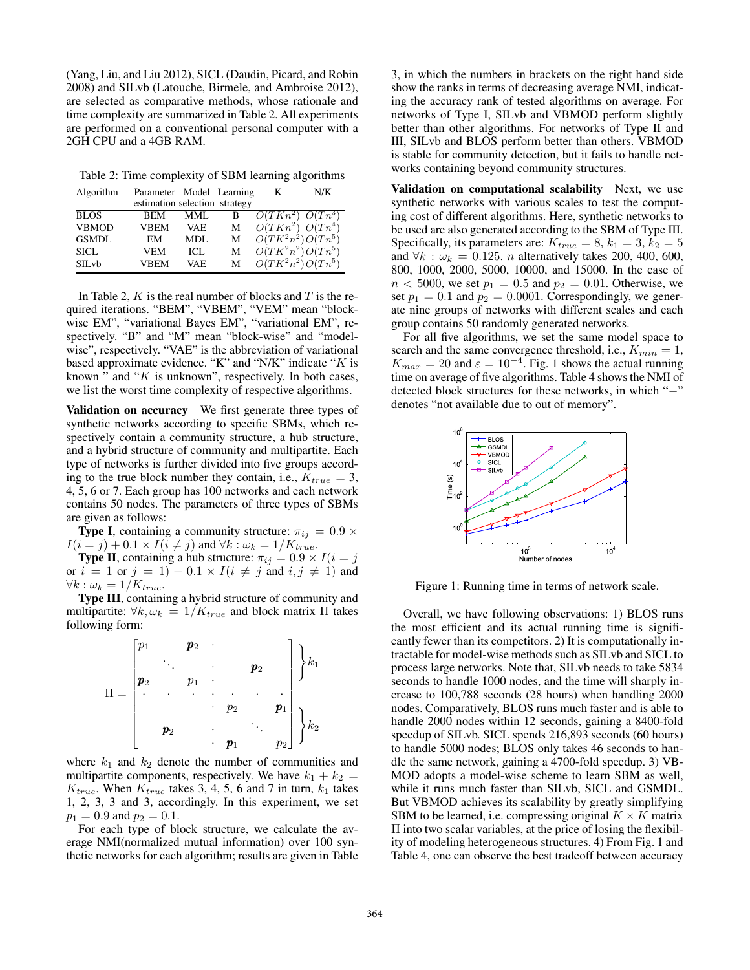(Yang, Liu, and Liu 2012), SICL (Daudin, Picard, and Robin 2008) and SILvb (Latouche, Birmele, and Ambroise 2012), are selected as comparative methods, whose rationale and time complexity are summarized in Table 2. All experiments are performed on a conventional personal computer with a 2GH CPU and a 4GB RAM.

Table 2: Time complexity of SBM learning algorithms

| Algorithm         | Parameter Model Learning      |      |   | K                    | N/K |
|-------------------|-------------------------------|------|---|----------------------|-----|
|                   | estimation selection strategy |      |   |                      |     |
| <b>BLOS</b>       | <b>BEM</b>                    | MML  | в | $O(TKn^2)$ $O(Tn^3)$ |     |
| <b>VBMOD</b>      | <b>VBEM</b>                   | VAE  | M | $O(TKn^2)$ $O(Tn^4)$ |     |
| <b>GSMDL</b>      | EM                            | MDL  | M | $O(TK^2n^2)O(Tn^5)$  |     |
| SICL.             | VEM                           | ICL  | М | $O(TK^2n^2)O(Tn^5)$  |     |
| SILv <sub>b</sub> | VBEM                          | VAE. | М | $O(TK^2n^2)O(Tn^5)$  |     |

In Table 2,  $K$  is the real number of blocks and  $T$  is the required iterations. "BEM", "VBEM", "VEM" mean "blockwise EM", "variational Bayes EM", "variational EM", respectively. "B" and "M" mean "block-wise" and "modelwise", respectively. "VAE" is the abbreviation of variational based approximate evidence. "K" and "N/K" indicate " $K$  is known " and " $K$  is unknown", respectively. In both cases, we list the worst time complexity of respective algorithms.

Validation on accuracy We first generate three types of synthetic networks according to specific SBMs, which respectively contain a community structure, a hub structure, and a hybrid structure of community and multipartite. Each type of networks is further divided into five groups according to the true block number they contain, i.e.,  $K_{true} = 3$ , 4, 5, 6 or 7. Each group has 100 networks and each network contains 50 nodes. The parameters of three types of SBMs are given as follows:

**Type I**, containing a community structure:  $\pi_{ij} = 0.9 \times$  $I(i = j) + 0.1 \times I(i \neq j)$  and  $\forall k : \omega_k = 1/K_{true}$ .

**Type II**, containing a hub structure:  $\pi_{ij} = 0.9 \times I(i = j)$ or  $i = 1$  or  $j = 1$ ) + 0.1 ×  $I(i \neq j$  and  $i, j \neq 1$ ) and  $\forall k : \omega_k = 1/K_{true}.$ 

Type III, containing a hybrid structure of community and multipartite:  $\forall k, \omega_k = 1/K_{true}$  and block matrix  $\Pi$  takes following form:

$$
\Pi = \begin{bmatrix} p_1 & p_2 & \cdots & p_2 \\ p_2 & p_1 & \cdots & p_2 & p_1 \\ & \ddots & \ddots & \ddots & \vdots \\ & & p_2 & \cdots & p_1 & p_2 \end{bmatrix} \begin{bmatrix} k_1 \\ k_2 \end{bmatrix}
$$

where  $k_1$  and  $k_2$  denote the number of communities and multipartite components, respectively. We have  $k_1 + k_2 =$  $K_{true}$ . When  $K_{true}$  takes 3, 4, 5, 6 and 7 in turn,  $k_1$  takes 1, 2, 3, 3 and 3, accordingly. In this experiment, we set  $p_1 = 0.9$  and  $p_2 = 0.1$ .

For each type of block structure, we calculate the average NMI(normalized mutual information) over 100 synthetic networks for each algorithm; results are given in Table 3, in which the numbers in brackets on the right hand side show the ranks in terms of decreasing average NMI, indicating the accuracy rank of tested algorithms on average. For networks of Type I, SILvb and VBMOD perform slightly better than other algorithms. For networks of Type II and III, SILvb and BLOS perform better than others. VBMOD is stable for community detection, but it fails to handle networks containing beyond community structures.

Validation on computational scalability Next, we use synthetic networks with various scales to test the computing cost of different algorithms. Here, synthetic networks to be used are also generated according to the SBM of Type III. Specifically, its parameters are:  $K_{true} = 8, k_1 = 3, k_2 = 5$ and  $\forall k : \omega_k = 0.125$ . *n* alternatively takes 200, 400, 600, 800, 1000, 2000, 5000, 10000, and 15000. In the case of  $n < 5000$ , we set  $p_1 = 0.5$  and  $p_2 = 0.01$ . Otherwise, we set  $p_1 = 0.1$  and  $p_2 = 0.0001$ . Correspondingly, we generate nine groups of networks with different scales and each group contains 50 randomly generated networks.

For all five algorithms, we set the same model space to search and the same convergence threshold, i.e.,  $K_{min} = 1$ ,  $K_{max} = 20$  and  $\varepsilon = 10^{-4}$ . Fig. 1 shows the actual running time on average of five algorithms. Table 4 shows the NMI of detected block structures for these networks, in which "−" denotes "not available due to out of memory".



Figure 1: Running time in terms of network scale.

Overall, we have following observations: 1) BLOS runs the most efficient and its actual running time is significantly fewer than its competitors. 2) It is computationally intractable for model-wise methods such as SILvb and SICL to process large networks. Note that, SILvb needs to take 5834 seconds to handle 1000 nodes, and the time will sharply increase to 100,788 seconds (28 hours) when handling 2000 nodes. Comparatively, BLOS runs much faster and is able to handle 2000 nodes within 12 seconds, gaining a 8400-fold speedup of SILvb. SICL spends 216,893 seconds (60 hours) to handle 5000 nodes; BLOS only takes 46 seconds to handle the same network, gaining a 4700-fold speedup. 3) VB-MOD adopts a model-wise scheme to learn SBM as well, while it runs much faster than SILvb, SICL and GSMDL. But VBMOD achieves its scalability by greatly simplifying SBM to be learned, i.e. compressing original  $K \times K$  matrix Π into two scalar variables, at the price of losing the flexibility of modeling heterogeneous structures. 4) From Fig. 1 and Table 4, one can observe the best tradeoff between accuracy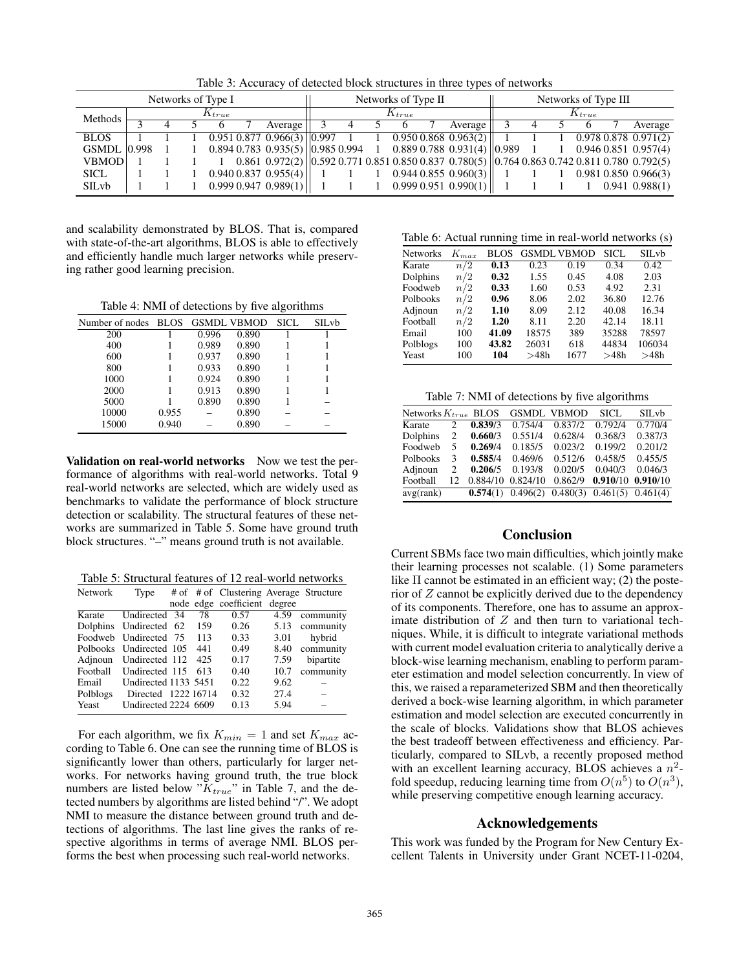Table 3: Accuracy of detected block structures in three types of networks

| Networks of Type I |            |  |  | Networks of Type II |                                                                                                                                          |  |  | Networks of Type III |  |                          |  |  |  |  |                            |
|--------------------|------------|--|--|---------------------|------------------------------------------------------------------------------------------------------------------------------------------|--|--|----------------------|--|--------------------------|--|--|--|--|----------------------------|
| Methods            | $K_{true}$ |  |  | $K_{true}$          |                                                                                                                                          |  |  | $K_{true}$           |  |                          |  |  |  |  |                            |
|                    |            |  |  |                     | Average                                                                                                                                  |  |  |                      |  | Average                  |  |  |  |  | Average                    |
| <b>BLOS</b>        |            |  |  |                     | $0.951$ $0.877$ $0.\overline{966(3)}$ $ 0.997$                                                                                           |  |  |                      |  | $1$ 0.950 0.868 0.963(2) |  |  |  |  | $0.978$ 0.878 $0.971(2)$   |
| <b>GSMDL</b> 0.998 |            |  |  |                     | $0.8940.7830.935(5)$ $  0.9850.99410.8890.7880.931(4)$ $  0.989$                                                                         |  |  |                      |  |                          |  |  |  |  | $0.946\,0.851\,0.957(4)$   |
| <b>VBMOD</b>       |            |  |  |                     | $0.861$ $0.972(2)$ $\vert$ $0.592$ $0.771$ $0.851$ $0.850$ $0.837$ $0.780(5)$ $\vert$ $0.764$ $0.863$ $0.742$ $0.811$ $0.780$ $0.792(5)$ |  |  |                      |  |                          |  |  |  |  |                            |
| <b>SICL</b>        |            |  |  |                     | 0.9400.8370.955(4)                                                                                                                       |  |  |                      |  | 0.9440.8550.960(3)       |  |  |  |  | $0.981$ $0.850$ $0.966(3)$ |
| SILvb              |            |  |  |                     | 0.9990.9470.989(1)                                                                                                                       |  |  |                      |  | $1$ 0.999 0.951 0.990(1) |  |  |  |  | $0.941$ $0.988(1)$         |

and scalability demonstrated by BLOS. That is, compared with state-of-the-art algorithms, BLOS is able to effectively and efficiently handle much larger networks while preserving rather good learning precision.

Table 4: NMI of detections by five algorithms

| Number of nodes BLOS GSMDL VBMOD |       |       |       | SICL. | SILvb |
|----------------------------------|-------|-------|-------|-------|-------|
| 200                              |       | 0.996 | 0.890 |       |       |
| 400                              |       | 0.989 | 0.890 |       |       |
| 600                              |       | 0.937 | 0.890 |       |       |
| 800                              |       | 0.933 | 0.890 |       |       |
| 1000                             |       | 0.924 | 0.890 |       |       |
| 2000                             |       | 0.913 | 0.890 |       |       |
| 5000                             |       | 0.890 | 0.890 |       |       |
| 10000                            | 0.955 |       | 0.890 |       |       |
| 15000                            | 0.940 |       | 0.890 |       |       |

Validation on real-world networks Now we test the performance of algorithms with real-world networks. Total 9 real-world networks are selected, which are widely used as benchmarks to validate the performance of block structure detection or scalability. The structural features of these networks are summarized in Table 5. Some have ground truth block structures. "–" means ground truth is not available.

Table 5: Structural features of 12 real-world networks

| Network  | Type                    |     | # of # of Clustering Average Structure |      |           |
|----------|-------------------------|-----|----------------------------------------|------|-----------|
|          |                         |     | node edge coefficient degree           |      |           |
| Karate   | Undirected 34           | 78  | 0.57                                   | 4.59 | community |
|          | Dolphins Undirected 62  | 159 | 0.26                                   | 5.13 | community |
|          | Foodweb Undirected 75   | 113 | 0.33                                   | 3.01 | hybrid    |
|          | Polbooks Undirected 105 | 441 | 0.49                                   | 8.40 | community |
| Adjnoun  | Undirected 112          | 425 | 0.17                                   | 7.59 | bipartite |
| Football | Undirected 115          | 613 | 0.40                                   | 10.7 | community |
| Email    | Undirected 1133 5451    |     | 0.22                                   | 9.62 |           |
| Polblogs | Directed 1222 16714     |     | 0.32                                   | 27.4 |           |
| Yeast    | Undirected 2224 6609    |     | 0.13                                   | 5.94 |           |

For each algorithm, we fix  $K_{min} = 1$  and set  $K_{max}$  according to Table 6. One can see the running time of BLOS is significantly lower than others, particularly for larger networks. For networks having ground truth, the true block numbers are listed below " $K_{true}$ " in Table 7, and the detected numbers by algorithms are listed behind "/". We adopt NMI to measure the distance between ground truth and detections of algorithms. The last line gives the ranks of respective algorithms in terms of average NMI. BLOS performs the best when processing such real-world networks.

Table 6: Actual running time in real-world networks (s)

| <b>Networks</b> | $K_{max}$ | BLOS  |       | <b>GSMDL VBMOD</b> | SICL. | SILvb  |
|-----------------|-----------|-------|-------|--------------------|-------|--------|
| Karate          | n/2       | 0.13  | 0.23  | 0.19               | 0.34  | 0.42   |
| Dolphins        | n/2       | 0.32  | 1.55  | 0.45               | 4.08  | 2.03   |
| Foodweb         | n/2       | 0.33  | 1.60  | 0.53               | 4.92  | 2.31   |
| Polbooks        | n/2       | 0.96  | 8.06  | 2.02               | 36.80 | 12.76  |
| Adjnoun         | n/2       | 1.10  | 8.09  | 2.12               | 40.08 | 16.34  |
| Football        | n/2       | 1.20  | 8.11  | 2.20               | 42.14 | 18.11  |
| Email           | 100       | 41.09 | 18575 | 389                | 35288 | 78597  |
| Polblogs        | 100       | 43.82 | 26031 | 618                | 44834 | 106034 |
| Yeast           | 100       | 104   | >48h  | 1677               | >48h  | >48h   |
|                 |           |       |       |                    |       |        |

Table  $7 \cdot$  NMI of detections by five algorithms

| Networks $K_{true}$ BLOS |    |          |          | <b>GSMDL VBMOD</b>                | SICL.                 | SILvb    |
|--------------------------|----|----------|----------|-----------------------------------|-----------------------|----------|
| Karate                   | 2. | 0.839/3  | 0.754/4  | 0.837/2                           | 0.792/4               | 0.770/4  |
| Dolphins                 | 2  | 0.660/3  | 0.551/4  | 0.628/4                           | 0.368/3               | 0.387/3  |
| Foodweb                  | 5  | 0.269/4  | 0.185/5  | 0.023/2                           | 0.199/2               | 0.201/2  |
| Polbooks                 | 3  | 0.585/4  | 0.469/6  | 0.512/6                           | 0.458/5               | 0.455/5  |
| Adjnoun                  | 2  | 0.206/5  | 0.193/8  | 0.020/5                           | 0.040/3               | 0.046/3  |
| Football                 | 12 | 0.884/10 | 0.824/10 | 0.862/9                           | 0.910/10              | 0.910/10 |
| avg(rank)                |    |          |          | <b>0.574(1)</b> 0.496(2) 0.480(3) | $0.461(5)$ $0.461(4)$ |          |

# Conclusion

Current SBMs face two main difficulties, which jointly make their learning processes not scalable. (1) Some parameters like  $\Pi$  cannot be estimated in an efficient way; (2) the posterior of Z cannot be explicitly derived due to the dependency of its components. Therefore, one has to assume an approximate distribution of  $Z$  and then turn to variational techniques. While, it is difficult to integrate variational methods with current model evaluation criteria to analytically derive a block-wise learning mechanism, enabling to perform parameter estimation and model selection concurrently. In view of this, we raised a reparameterized SBM and then theoretically derived a bock-wise learning algorithm, in which parameter estimation and model selection are executed concurrently in the scale of blocks. Validations show that BLOS achieves the best tradeoff between effectiveness and efficiency. Particularly, compared to SILvb, a recently proposed method with an excellent learning accuracy, BLOS achieves a  $n^2$ fold speedup, reducing learning time from  $O(n^5)$  to  $O(n^3)$ , while preserving competitive enough learning accuracy.

### Acknowledgements

This work was funded by the Program for New Century Excellent Talents in University under Grant NCET-11-0204,